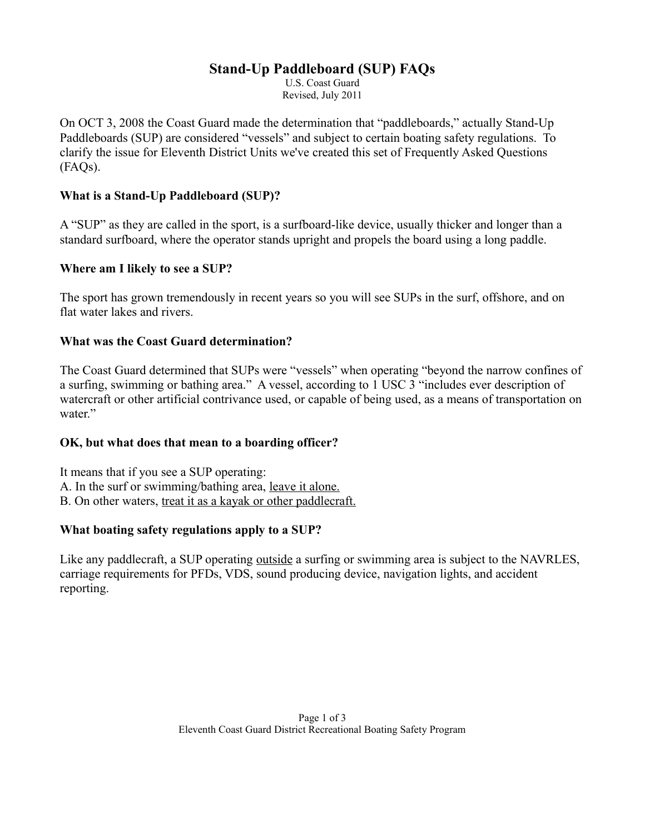# **Stand-Up Paddleboard (SUP) FAQs**

U.S. Coast Guard Revised, July 2011

On OCT 3, 2008 the Coast Guard made the determination that "paddleboards," actually Stand-Up Paddleboards (SUP) are considered "vessels" and subject to certain boating safety regulations. To clarify the issue for Eleventh District Units we've created this set of Frequently Asked Questions (FAQs).

### **What is a Stand-Up Paddleboard (SUP)?**

A "SUP" as they are called in the sport, is a surfboard-like device, usually thicker and longer than a standard surfboard, where the operator stands upright and propels the board using a long paddle.

#### **Where am I likely to see a SUP?**

The sport has grown tremendously in recent years so you will see SUPs in the surf, offshore, and on flat water lakes and rivers.

## **What was the Coast Guard determination?**

The Coast Guard determined that SUPs were "vessels" when operating "beyond the narrow confines of a surfing, swimming or bathing area." A vessel, according to 1 USC 3 "includes ever description of watercraft or other artificial contrivance used, or capable of being used, as a means of transportation on water."

#### **OK, but what does that mean to a boarding officer?**

It means that if you see a SUP operating: A. In the surf or swimming/bathing area, leave it alone. B. On other waters, treat it as a kayak or other paddlecraft.

## **What boating safety regulations apply to a SUP?**

Like any paddlecraft, a SUP operating <u>outside</u> a surfing or swimming area is subject to the NAVRLES, carriage requirements for PFDs, VDS, sound producing device, navigation lights, and accident reporting.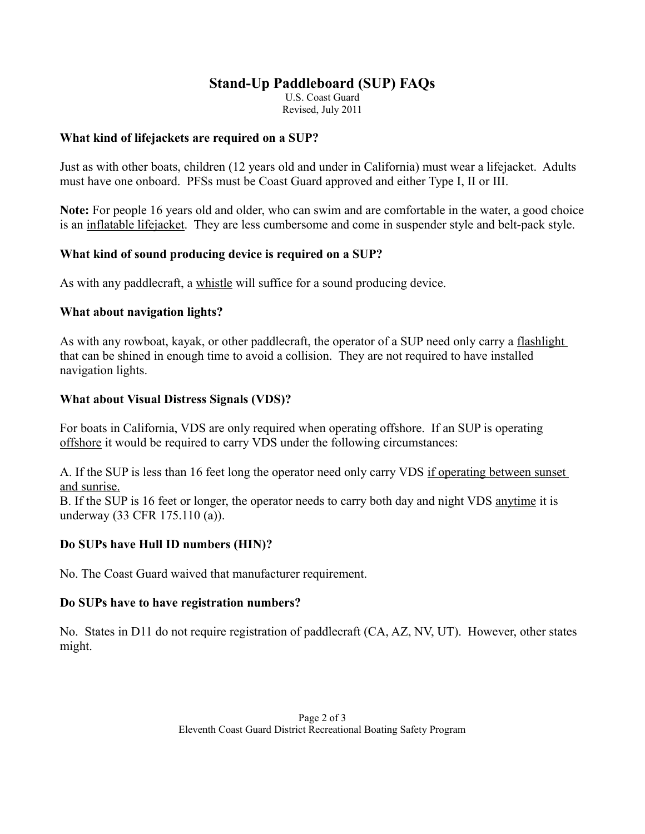# **Stand-Up Paddleboard (SUP) FAQs**

U.S. Coast Guard Revised, July 2011

#### **What kind of lifejackets are required on a SUP?**

Just as with other boats, children (12 years old and under in California) must wear a lifejacket. Adults must have one onboard. PFSs must be Coast Guard approved and either Type I, II or III.

**Note:** For people 16 years old and older, who can swim and are comfortable in the water, a good choice is an inflatable lifejacket. They are less cumbersome and come in suspender style and belt-pack style.

#### **What kind of sound producing device is required on a SUP?**

As with any paddlecraft, a whistle will suffice for a sound producing device.

#### **What about navigation lights?**

As with any rowboat, kayak, or other paddlecraft, the operator of a SUP need only carry a flashlight that can be shined in enough time to avoid a collision. They are not required to have installed navigation lights.

### **What about Visual Distress Signals (VDS)?**

For boats in California, VDS are only required when operating offshore. If an SUP is operating offshore it would be required to carry VDS under the following circumstances:

A. If the SUP is less than 16 feet long the operator need only carry VDS if operating between sunset and sunrise.

B. If the SUP is 16 feet or longer, the operator needs to carry both day and night VDS anytime it is underway (33 CFR 175.110 (a)).

## **Do SUPs have Hull ID numbers (HIN)?**

No. The Coast Guard waived that manufacturer requirement.

#### **Do SUPs have to have registration numbers?**

No. States in D11 do not require registration of paddlecraft (CA, AZ, NV, UT). However, other states might.